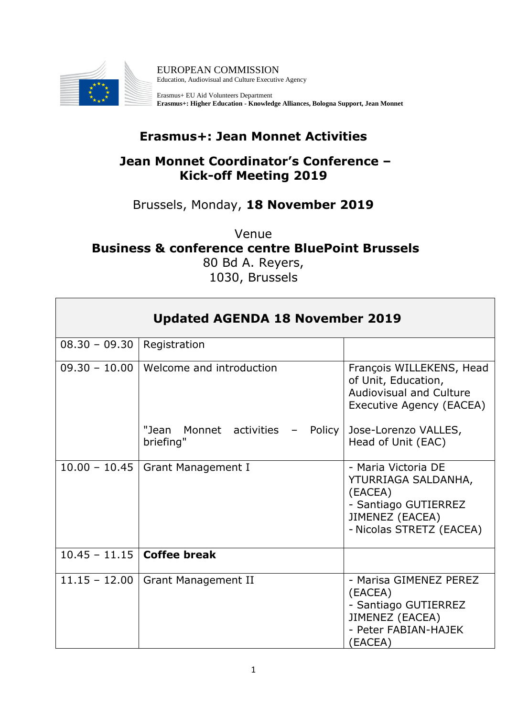

EUROPEAN COMMISSION Education, Audiovisual and Culture Executive Agency

Erasmus+ EU Aid Volunteers Department **Erasmus+: Higher Education - Knowledge Alliances, Bologna Support, Jean Monnet**

## **Erasmus+: Jean Monnet Activities**

## **Jean Monnet Coordinator's Conference – Kick-off Meeting 2019**

## Brussels, Monday, **18 November 2019**

Venue **Business & conference centre BluePoint Brussels** 80 Bd A. Reyers, 1030, Brussels

| <b>Updated AGENDA 18 November 2019</b> |                                                   |                                                                                                                              |
|----------------------------------------|---------------------------------------------------|------------------------------------------------------------------------------------------------------------------------------|
| $08.30 - 09.30$                        | Registration                                      |                                                                                                                              |
| $09.30 - 10.00$                        | Welcome and introduction                          | François WILLEKENS, Head<br>of Unit, Education,<br><b>Audiovisual and Culture</b><br>Executive Agency (EACEA)                |
|                                        | Monnet activities<br>"Jean<br>Policy<br>briefing" | Jose-Lorenzo VALLES,<br>Head of Unit (EAC)                                                                                   |
| $10.00 - 10.45$                        | <b>Grant Management I</b>                         | - Maria Victoria DE<br>YTURRIAGA SALDANHA,<br>(EACEA)<br>- Santiago GUTIERREZ<br>JIMENEZ (EACEA)<br>- Nicolas STRETZ (EACEA) |
| 10.45 - 11.15 Coffee break             |                                                   |                                                                                                                              |
| $11.15 - 12.00$                        | <b>Grant Management II</b>                        | - Marisa GIMENEZ PEREZ<br>(EACEA)<br>- Santiago GUTIERREZ<br>JIMENEZ (EACEA)<br>- Peter FABIAN-HAJEK<br>(EACEA)              |